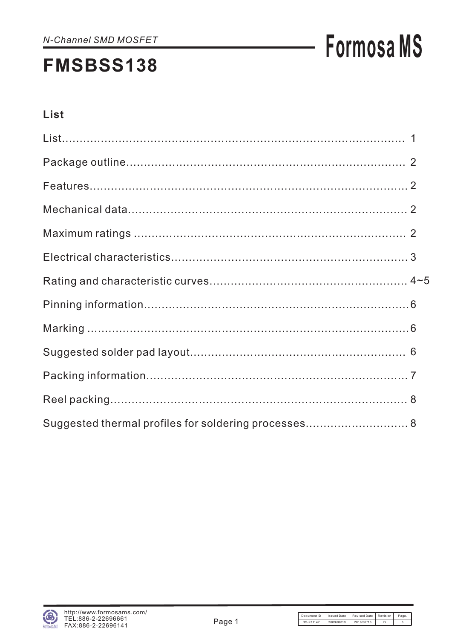# **Formosa MS**

# List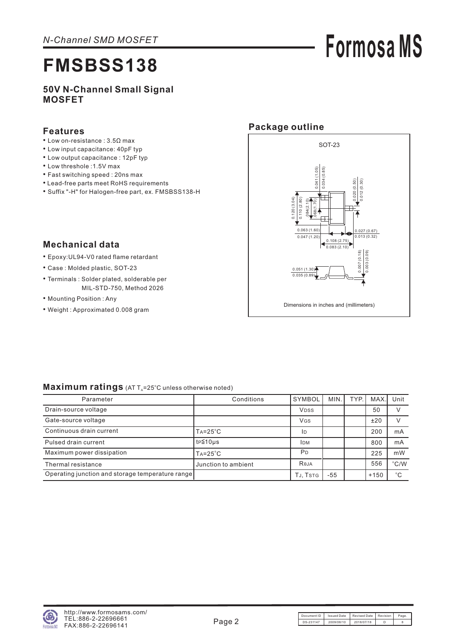# **Formosa MS**

# **FMSBSS138**

### **50V N-Channel Small Signal MOSFET**

### **Features**

- Low on-resistance : 3.5Ω max
- Low input capacitance: 40pF typ
- Low output capacitance : 12pF typ
- Low threshole :1.5V max
- Fast switching speed : 20ns max
- Lead-free parts meet RoHS requirements
- Suffix "-H" for Halogen-free part, ex. FMSBSS138-H

## **Package outline**



## **Mechanical data**

- Epoxy:UL94-V0 rated flame retardant
- Case : Molded plastic, SOT-23
- Terminals : Solder plated, solderable per MIL-STD-750, Method 2026
- Mounting Position : Any
- Weight : Approximated 0.008 gram

### Maximum ratings (AT T<sub>A</sub>=25°C unless otherwise noted)

| Parameter                                         | Conditions           | SYMBOL         | MIN.  | TYP. | MAX.I  | Unit          |
|---------------------------------------------------|----------------------|----------------|-------|------|--------|---------------|
| Drain-source voltage                              |                      | <b>VDSS</b>    |       |      | 50     |               |
| Gate-source voltage                               |                      | <b>VGS</b>     |       |      | ±20    |               |
| Continuous drain current                          | $Ta = 25^{\circ}C$   | ID             |       |      | 200    | mA            |
| Pulsed drain current                              | t <sub>P</sub> ≦10µs | <b>IDM</b>     |       |      | 800    | mA            |
| Maximum power dissipation                         | $Ta = 25^{\circ}C$   | P <sub>D</sub> |       |      | 225    | mW            |
| Thermal resistance                                | Junction to ambient  | Reja           |       |      | 556    | $\degree$ C/W |
| Operating junction and storage temperature range] |                      | TJ, TSTG       | $-55$ |      | $+150$ | $^{\circ}C$   |

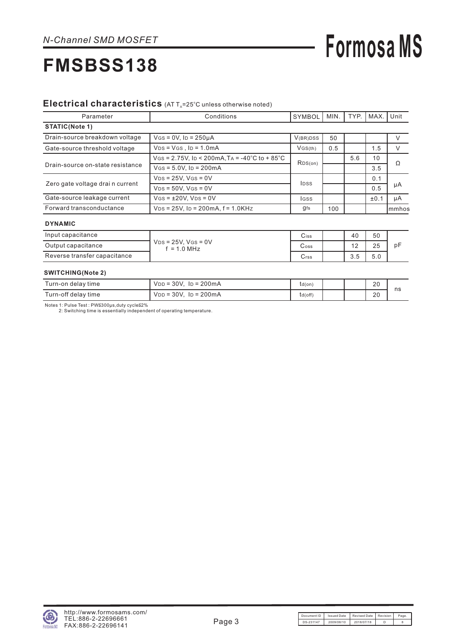# **Formosa MS**

#### Electrical characteristics (AT T<sub>A</sub>=25°C unless otherwise noted)

| Parameter                                                               | Conditions                                       | <b>SYMBOL</b> | MIN. | TYP. | MAX. | Unit   |
|-------------------------------------------------------------------------|--------------------------------------------------|---------------|------|------|------|--------|
| STATIC(Note 1)                                                          |                                                  |               |      |      |      |        |
| Drain-source breakdown voltage                                          | $V$ GS = 0V, ID = 250µA                          | V(BR)DSS      | 50   |      |      |        |
| Gate-source threshold voltage                                           | $VDS = VGS$ , $ID = 1.0mA$                       | VGS(th)       | 0.5  |      | 1.5  |        |
| Drain-source on-state resistance                                        | $V$ GS = 2.75V, ID < 200mA, TA = -40°C to + 85°C | RDS(on)       |      | 5.6  | 10   | Ω      |
|                                                                         | $V$ GS = 5.0V, ID = 200 mA                       |               |      |      | 3.5  |        |
|                                                                         | $VDS = 25V$ . $VGS = 0V$                         |               |      |      | 0.1  | μA     |
| Zero gate voltage drai n current                                        | $VDS = 50V$ , $VGS = 0V$                         | <b>IDSS</b>   |      |      | 0.5  |        |
| Gate-source leakage current<br>$V$ GS = $\pm$ 20V, V <sub>DS</sub> = 0V |                                                  | lgss          |      |      | ±0.1 | μA     |
| Forward transconductance                                                | $V_{DS} = 25V$ , ID = 200mA, $f = 1.0K$ Hz       | gfs           | 100  |      |      | Immhos |
| <b>DVMAMIO</b>                                                          |                                                  |               |      |      |      |        |

#### **DYNAMIC**

| Input capacitance            |                                         | Ciss | 40                  | 50          |    |
|------------------------------|-----------------------------------------|------|---------------------|-------------|----|
| Output capacitance           | $V_{DS}$ = 25V. Vgs = 0V<br>$= 1.0$ MHz | Coss | $\overline{ }$<br>∼ | 25          | рF |
| Reverse transfer capacitance |                                         | Crss | 3.5                 | ς Λ<br>ິບ.∪ |    |

#### **SWITCHING(Note 2)**

| Turn-on delay time  | 30V.<br>$\ln 200 \text{mA}$<br>$VDD =$ | td(on)  |  | 20 | ns |
|---------------------|----------------------------------------|---------|--|----|----|
| Turn-off delay time | $V_{DD} = 30V$ . Ip = 200mA            | td(off) |  | 20 |    |

Notes 1: Pulse Test : PW≦300μs,duty cycle≦2%<br>2: Switching time is essentially independent of operating temperature.

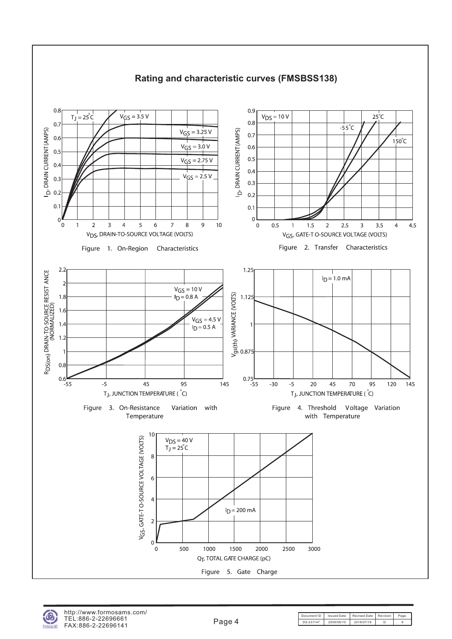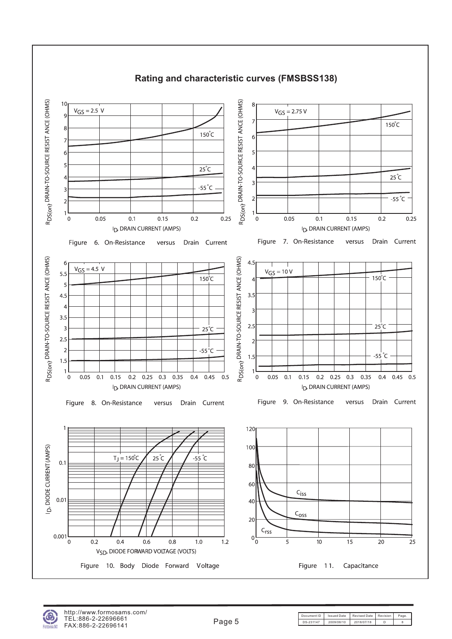

### **Rating and characteristic curves (FMSBSS138)**

Document ID | Issued Date | Revised Date | Revision | Page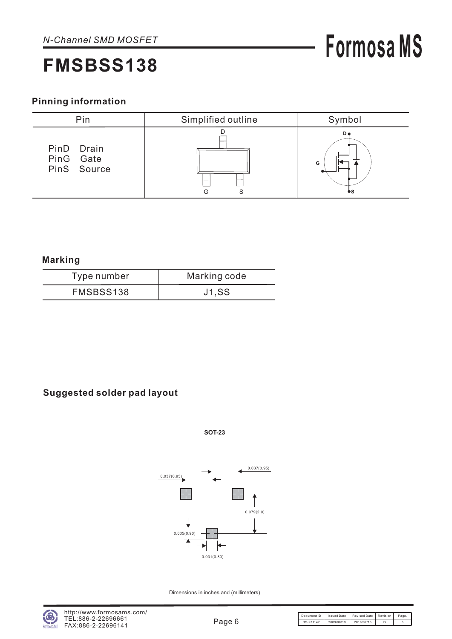## **Pinning information**



**Marking**

| Type number | Marking code |
|-------------|--------------|
| FMSBSS138   | <b>J1,SS</b> |

## **Suggested solder pad layout**

**SOT-23**



Dimensions in inches and (millimeters)

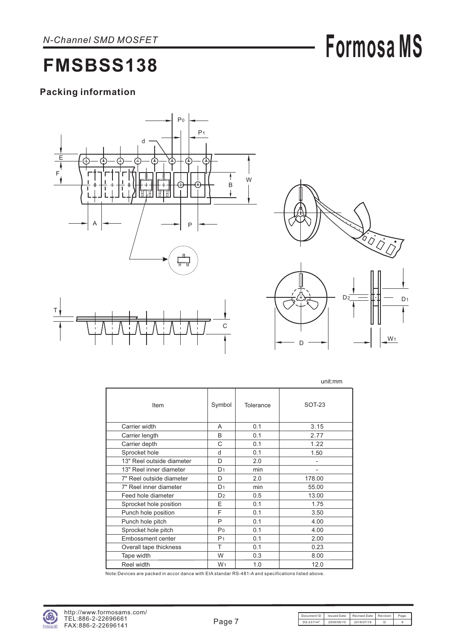# **Formosa MS**

# **FMSBSS138**

## **Packing information**





W<sub>1</sub>

D

|                           |                |           | unit:mm                  |
|---------------------------|----------------|-----------|--------------------------|
| Item                      | Symbol         | Tolerance | SOT-23                   |
| Carrier width             | A              | 0.1       | 3.15                     |
| Carrier length            | B              | 0.1       | 2.77                     |
| Carrier depth             | C              | 0.1       | 1.22                     |
| Sprocket hole             | d              | 0.1       | 1.50                     |
| 13" Reel outside diameter | D              | 2.0       | $\overline{\phantom{0}}$ |
| 13" Reel inner diameter   | D <sub>1</sub> | min       | $\overline{a}$           |
| 7" Reel outside diameter  | D              | 2.0       | 178.00                   |
| 7" Reel inner diameter    | D <sub>1</sub> | min       | 55.00                    |
| Feed hole diameter        | D <sub>2</sub> | 0.5       | 13.00                    |
| Sprocket hole position    | E              | 0.1       | 1.75                     |
| Punch hole position       | F              | 0.1       | 3.50                     |
| Punch hole pitch          | P              | 0.1       | 4.00                     |
| Sprocket hole pitch       | P <sub>0</sub> | 0.1       | 4.00                     |
| <b>Embossment center</b>  | P <sub>1</sub> | 0.1       | 2.00                     |
| Overall tape thickness    | T              | 0.1       | 0.23                     |
| Tape width                | W              | 0.3       | 8.00                     |
| Reel width                | W <sub>1</sub> | 1.0       | 12.0                     |

Note:Devices are packed in accor dance with EIA standar RS-481-A and specifications listed above.